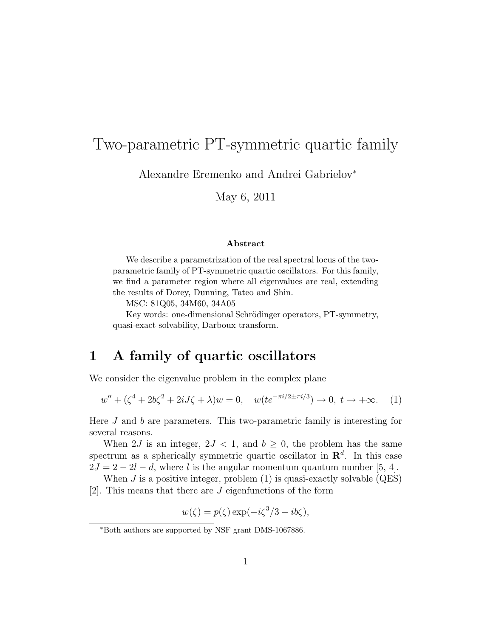# Two-parametric PT-symmetric quartic family

Alexandre Eremenko and Andrei Gabrielov<sup>∗</sup>

May 6, 2011

#### Abstract

We describe a parametrization of the real spectral locus of the twoparametric family of PT-symmetric quartic oscillators. For this family, we find a parameter region where all eigenvalues are real, extending the results of Dorey, Dunning, Tateo and Shin.

MSC: 81Q05, 34M60, 34A05

Key words: one-dimensional Schrödinger operators, PT-symmetry, quasi-exact solvability, Darboux transform.

## 1 A family of quartic oscillators

We consider the eigenvalue problem in the complex plane

$$
w'' + (\zeta^4 + 2b\zeta^2 + 2iJ\zeta + \lambda)w = 0, \quad w(te^{-\pi i/2 \pm \pi i/3}) \to 0, \ t \to +\infty.
$$
 (1)

Here J and b are parameters. This two-parametric family is interesting for several reasons.

When 2J is an integer,  $2J < 1$ , and  $b \geq 0$ , the problem has the same spectrum as a spherically symmetric quartic oscillator in  $\mathbb{R}^d$ . In this case  $2J = 2 - 2l - d$ , where l is the angular momentum quantum number [5, 4].

When  $J$  is a positive integer, problem  $(1)$  is quasi-exactly solvable  $(QES)$ [2]. This means that there are J eigenfunctions of the form

 $w(\zeta) = p(\zeta) \exp(-i\zeta^3/3 - ib\zeta),$ 

<sup>∗</sup>Both authors are supported by NSF grant DMS-1067886.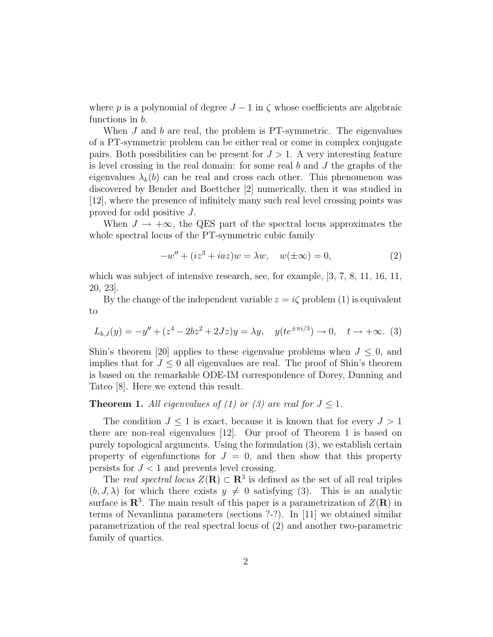where p is a polynomial of degree  $J - 1$  in  $\zeta$  whose coefficients are algebraic functions in b.

When  $J$  and  $b$  are real, the problem is PT-symmetric. The eigenvalues of a PT-symmetric problem can be either real or come in complex conjugate pairs. Both possibilities can be present for  $J > 1$ . A very interesting feature is level crossing in the real domain: for some real  $b$  and  $J$  the graphs of the eigenvalues  $\lambda_k(b)$  can be real and cross each other. This phenomenon was discovered by Bender and Boettcher [2] numerically, then it was studied in [12], where the presence of infinitely many such real level crossing points was proved for odd positive J.

When  $J \to +\infty$ , the QES part of the spectral locus approximates the whole spectral locus of the PT-symmetric cubic family

$$
-w'' + (iz3 + iaz)w = \lambda w, \quad w(\pm \infty) = 0,
$$
 (2)

which was subject of intensive research, see, for example,  $[3, 7, 8, 11, 16, 11,$ 20, 23].

By the change of the independent variable  $z = i\zeta$  problem (1) is equivalent to

$$
L_{b,J}(y) = -y'' + (z^4 - 2bz^2 + 2Jz)y = \lambda y, \quad y(te^{\pm \pi i/3}) \to 0, \quad t \to +\infty.
$$
 (3)

Shin's theorem [20] applies to these eigenvalue problems when  $J \leq 0$ , and implies that for  $J \leq 0$  all eigenvalues are real. The proof of Shin's theorem is based on the remarkable ODE-IM correspondence of Dorey, Dunning and Tateo [8]. Here we extend this result.

#### **Theorem 1.** All eigenvalues of (1) or (3) are real for  $J \leq 1$ .

The condition  $J \leq 1$  is exact, because it is known that for every  $J > 1$ there are non-real eigenvalues [12]. Our proof of Theorem 1 is based on purely topological arguments. Using the formulation (3), we establish certain property of eigenfunctions for  $J = 0$ , and then show that this property persists for  $J < 1$  and prevents level crossing.

The real spectral locus  $Z(\mathbf{R}) \subset \mathbf{R}^3$  is defined as the set of all real triples  $(b, J, \lambda)$  for which there exists  $y \neq 0$  satisfying (3). This is an analytic surface is  $\mathbb{R}^3$ . The main result of this paper is a parametrization of  $Z(\mathbb{R})$  in terms of Nevanlinna parameters (sections ?-?). In [11] we obtained similar parametrization of the real spectral locus of (2) and another two-parametric family of quartics.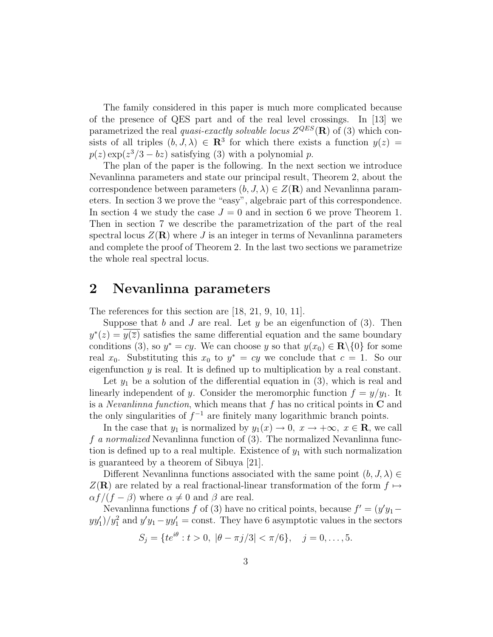The family considered in this paper is much more complicated because of the presence of QES part and of the real level crossings. In [13] we parametrized the real *quasi-exactly solvable locus*  $Z^{QES}(\mathbf{R})$  of (3) which consists of all triples  $(b, J, \lambda) \in \mathbb{R}^3$  for which there exists a function  $y(z) =$  $p(z) \exp(z^3/3 - bz)$  satisfying (3) with a polynomial p.

The plan of the paper is the following. In the next section we introduce Nevanlinna parameters and state our principal result, Theorem 2, about the correspondence between parameters  $(b, J, \lambda) \in Z(\mathbf{R})$  and Nevanlinna parameters. In section 3 we prove the "easy", algebraic part of this correspondence. In section 4 we study the case  $J = 0$  and in section 6 we prove Theorem 1. Then in section 7 we describe the parametrization of the part of the real spectral locus  $Z(\mathbf{R})$  where J is an integer in terms of Nevanlinna parameters and complete the proof of Theorem 2. In the last two sections we parametrize the whole real spectral locus.

#### 2 Nevanlinna parameters

The references for this section are [18, 21, 9, 10, 11].

Suppose that b and J are real. Let y be an eigenfunction of  $(3)$ . Then  $y^*(z) = \overline{y(\overline{z})}$  satisfies the same differential equation and the same boundary conditions (3), so  $y^* = cy$ . We can choose y so that  $y(x_0) \in \mathbf{R} \setminus \{0\}$  for some real  $x_0$ . Substituting this  $x_0$  to  $y^* = cy$  we conclude that  $c = 1$ . So our eigenfunction  $y$  is real. It is defined up to multiplication by a real constant.

Let  $y_1$  be a solution of the differential equation in (3), which is real and linearly independent of y. Consider the meromorphic function  $f = y/y_1$ . It is a *Nevanlinna function*, which means that  $f$  has no critical points in  $C$  and the only singularities of  $f^{-1}$  are finitely many logarithmic branch points.

In the case that  $y_1$  is normalized by  $y_1(x) \to 0$ ,  $x \to +\infty$ ,  $x \in \mathbb{R}$ , we call f a normalized Nevanlinna function of (3). The normalized Nevanlinna function is defined up to a real multiple. Existence of  $y_1$  with such normalization is guaranteed by a theorem of Sibuya [21].

Different Nevanlinna functions associated with the same point  $(b, J, \lambda) \in$  $Z(\mathbf{R})$  are related by a real fractional-linear transformation of the form  $f \mapsto$  $\alpha f/(f - \beta)$  where  $\alpha \neq 0$  and  $\beta$  are real.

Nevanlinna functions f of (3) have no critical points, because  $f' = (y'y_1$  $y y_1'/y_1^2$  and  $y' y_1 - y y_1' = \text{const.}$  They have 6 asymptotic values in the sectors

$$
S_j = \{ te^{i\theta} : t > 0, \ |\theta - \pi j/3| < \pi/6 \}, \quad j = 0, \dots, 5.
$$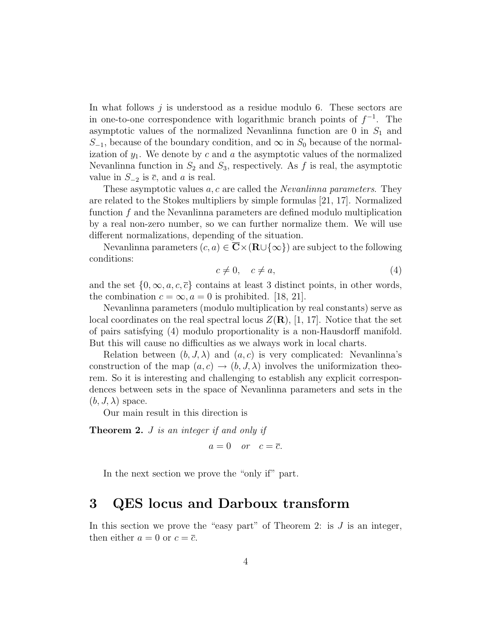In what follows j is understood as a residue modulo 6. These sectors are in one-to-one correspondence with logarithmic branch points of  $f^{-1}$ . The asymptotic values of the normalized Nevanlinna function are  $0$  in  $S_1$  and  $S_{-1}$ , because of the boundary condition, and  $\infty$  in  $S_0$  because of the normalization of  $y_1$ . We denote by c and a the asymptotic values of the normalized Nevanlinna function in  $S_2$  and  $S_3$ , respectively. As f is real, the asymptotic value in  $S_{-2}$  is  $\overline{c}$ , and a is real.

These asymptotic values a, c are called the *Nevanlinna parameters*. They are related to the Stokes multipliers by simple formulas [21, 17]. Normalized function f and the Nevanlinna parameters are defined modulo multiplication by a real non-zero number, so we can further normalize them. We will use different normalizations, depending of the situation.

Nevanlinna parameters  $(c,a) \in \overline{\mathbf{C}} \times (\mathbf{R} \cup {\infty})$  are subject to the following conditions:

$$
c \neq 0, \quad c \neq a,\tag{4}
$$

and the set  $\{0,\infty,a,c,\bar{c}\}$  contains at least 3 distinct points, in other words, the combination  $c = \infty$ ,  $a = 0$  is prohibited. [18, 21].

Nevanlinna parameters (modulo multiplication by real constants) serve as local coordinates on the real spectral locus  $Z(\mathbf{R})$ , [1, 17]. Notice that the set of pairs satisfying (4) modulo proportionality is a non-Hausdorff manifold. But this will cause no difficulties as we always work in local charts.

Relation between  $(b, J, \lambda)$  and  $(a, c)$  is very complicated: Nevanlinna's construction of the map  $(a, c) \rightarrow (b, J, \lambda)$  involves the uniformization theorem. So it is interesting and challenging to establish any explicit correspondences between sets in the space of Nevanlinna parameters and sets in the  $(b, J, \lambda)$  space.

Our main result in this direction is

Theorem 2. *J* is an integer if and only if

 $a = 0$  or  $c = \overline{c}$ .

In the next section we prove the "only if" part.

#### 3 QES locus and Darboux transform

In this section we prove the "easy part" of Theorem 2: is  $J$  is an integer, then either  $a = 0$  or  $c = \overline{c}$ .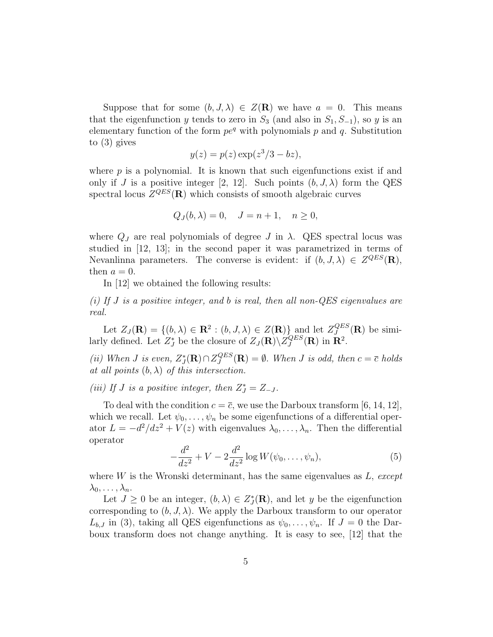Suppose that for some  $(b, J, \lambda) \in Z(\mathbf{R})$  we have  $a = 0$ . This means that the eigenfunction y tends to zero in  $S_3$  (and also in  $S_1, S_{-1}$ ), so y is an elementary function of the form  $pe^{q}$  with polynomials p and q. Substitution to (3) gives

$$
y(z) = p(z) \exp(z^3/3 - bz),
$$

where  $p$  is a polynomial. It is known that such eigenfunctions exist if and only if J is a positive integer [2, 12]. Such points  $(b, J, \lambda)$  form the QES spectral locus  $Z^{QES}(\mathbf{R})$  which consists of smooth algebraic curves

$$
Q_J(b,\lambda) = 0, \quad J = n+1, \quad n \ge 0,
$$

where  $Q_J$  are real polynomials of degree J in  $\lambda$ . QES spectral locus was studied in [12, 13]; in the second paper it was parametrized in terms of Nevanlinna parameters. The converse is evident: if  $(b, J, \lambda) \in Z^{QES}(\mathbf{R}),$ then  $a = 0$ .

In [12] we obtained the following results:

(i) If J is a positive integer, and b is real, then all non-QES eigenvalues are real.

Let  $Z_J(\mathbf{R}) = \{(b, \lambda) \in \mathbf{R}^2 : (b, J, \lambda) \in Z(\mathbf{R})\}$  and let  $Z_J^{QES}$  $J^{QES}(\mathbf{R})$  be similarly defined. Let  $Z_J^*$  be the closure of  $Z_J(\mathbf{R})\backslash Z_J^{QES}$  $J^{QES}(\mathbf{R})$  in  $\mathbf{R}^2$ .

(ii) When *J* is even,  $Z_J^*$  $\mathcal{Z}^{qES}_J$  $Q^{LSS}(\mathbf{R}) = \emptyset$ . When J is odd, then  $c = \overline{c}$  holds at all points  $(b, \lambda)$  of this intersection.

(iii) If J is a positive integer, then  $Z_J^* = Z_{-J}$ .

To deal with the condition  $c = \overline{c}$ , we use the Darboux transform [6, 14, 12], which we recall. Let  $\psi_0, \ldots, \psi_n$  be some eigenfunctions of a differential operator  $L = -d^2/dz^2 + V(z)$  with eigenvalues  $\lambda_0, \ldots, \lambda_n$ . Then the differential operator

$$
-\frac{d^2}{dz^2} + V - 2\frac{d^2}{dz^2}\log W(\psi_0, \dots, \psi_n),\tag{5}
$$

where  $W$  is the Wronski determinant, has the same eigenvalues as  $L$ , except  $\lambda_0,\ldots,\lambda_n.$ 

Let  $J \geq 0$  be an integer,  $(b, \lambda) \in Z_J^*$  $j(\mathbf{R})$ , and let y be the eigenfunction corresponding to  $(b, J, \lambda)$ . We apply the Darboux transform to our operator  $L_{b,J}$  in (3), taking all QES eigenfunctions as  $\psi_0,\ldots,\psi_n$ . If  $J=0$  the Darboux transform does not change anything. It is easy to see, [12] that the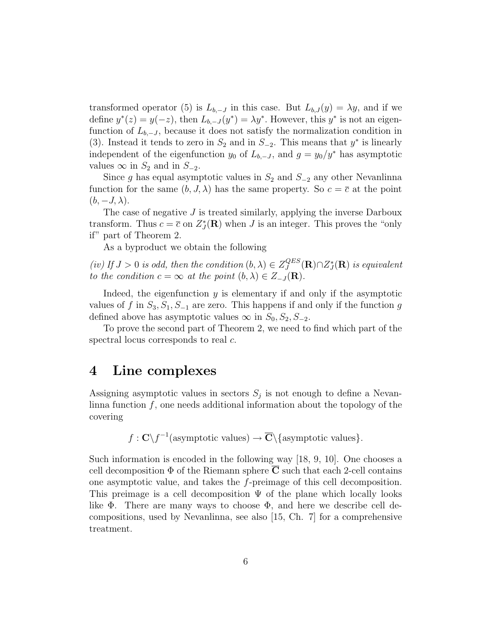transformed operator (5) is  $L_{b,-J}$  in this case. But  $L_{b,J}(y) = \lambda y$ , and if we define  $y^*(z) = y(-z)$ , then  $L_{b,-J}(y^*) = \lambda y^*$ . However, this  $y^*$  is not an eigenfunction of  $L_{b,-J}$ , because it does not satisfy the normalization condition in (3). Instead it tends to zero in  $S_2$  and in  $S_{-2}$ . This means that  $y^*$  is linearly independent of the eigenfunction  $y_0$  of  $L_{b,-J}$ , and  $g = y_0/y^*$  has asymptotic values  $\infty$  in  $S_2$  and in  $S_{-2}$ .

Since g has equal asymptotic values in  $S_2$  and  $S_{-2}$  any other Nevanlinna function for the same  $(b, J, \lambda)$  has the same property. So  $c = \overline{c}$  at the point  $(b, -J, \lambda)$ .

The case of negative  $J$  is treated similarly, applying the inverse Darboux transform. Thus  $c = \overline{c}$  on  $Z_J^*$  $j(\mathbf{R})$  when J is an integer. This proves the "only" if" part of Theorem 2.

As a byproduct we obtain the following

(iv) If  $J > 0$  is odd, then the condition  $(b, \lambda) \in Z_J^{QES}$  ${}^{QES}_{J}(\mathbf{R})$ n $Z_{J}^{\ast}$  $\mathcal{G}_J^*(\mathbf{R})$  is equivalent to the condition  $c = \infty$  at the point  $(b, \lambda) \in Z_{-J}(\mathbf{R})$ .

Indeed, the eigenfunction  $y$  is elementary if and only if the asymptotic values of f in  $S_3, S_1, S_{-1}$  are zero. This happens if and only if the function g defined above has asymptotic values  $\infty$  in  $S_0, S_2, S_{-2}$ .

To prove the second part of Theorem 2, we need to find which part of the spectral locus corresponds to real  $c$ .

#### 4 Line complexes

Assigning asymptotic values in sectors  $S_j$  is not enough to define a Nevanlinna function f, one needs additional information about the topology of the covering

$$
f: \mathbf{C} \setminus f^{-1}(\text{asymptotic values}) \to \overline{\mathbf{C}} \setminus \{\text{asymptotic values}\}.
$$

Such information is encoded in the following way [18, 9, 10]. One chooses a cell decomposition  $\Phi$  of the Riemann sphere  $\overline{C}$  such that each 2-cell contains one asymptotic value, and takes the f-preimage of this cell decomposition. This preimage is a cell decomposition  $\Psi$  of the plane which locally looks like  $\Phi$ . There are many ways to choose  $\Phi$ , and here we describe cell decompositions, used by Nevanlinna, see also [15, Ch. 7] for a comprehensive treatment.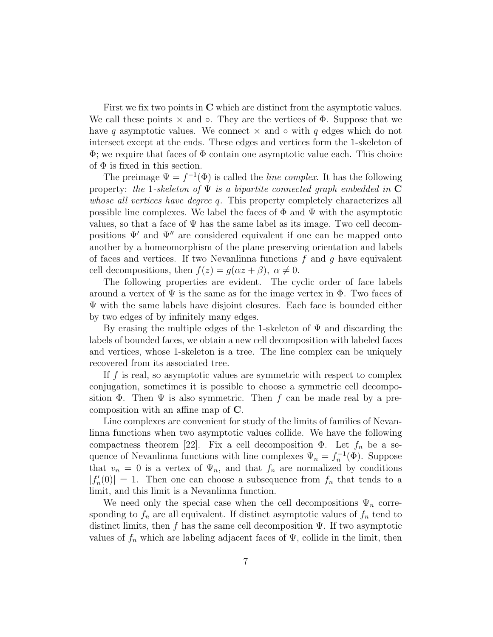First we fix two points in  $\overline{C}$  which are distinct from the asymptotic values. We call these points  $\times$  and  $\circ$ . They are the vertices of  $\Phi$ . Suppose that we have q asymptotic values. We connect  $\times$  and  $\circ$  with q edges which do not intersect except at the ends. These edges and vertices form the 1-skeleton of  $\Phi$ ; we require that faces of  $\Phi$  contain one asymptotic value each. This choice of  $\Phi$  is fixed in this section.

The preimage  $\Psi = f^{-1}(\Phi)$  is called the *line complex*. It has the following property: the 1-skeleton of  $\Psi$  is a bipartite connected graph embedded in  $\mathbf C$ whose all vertices have degree q. This property completely characterizes all possible line complexes. We label the faces of  $\Phi$  and  $\Psi$  with the asymptotic values, so that a face of  $\Psi$  has the same label as its image. Two cell decompositions  $\Psi'$  and  $\Psi''$  are considered equivalent if one can be mapped onto another by a homeomorphism of the plane preserving orientation and labels of faces and vertices. If two Nevanlinna functions  $f$  and  $g$  have equivalent cell decompositions, then  $f(z) = q(\alpha z + \beta)$ ,  $\alpha \neq 0$ .

The following properties are evident. The cyclic order of face labels around a vertex of  $\Psi$  is the same as for the image vertex in  $\Phi$ . Two faces of Ψ with the same labels have disjoint closures. Each face is bounded either by two edges of by infinitely many edges.

By erasing the multiple edges of the 1-skeleton of  $\Psi$  and discarding the labels of bounded faces, we obtain a new cell decomposition with labeled faces and vertices, whose 1-skeleton is a tree. The line complex can be uniquely recovered from its associated tree.

If  $f$  is real, so asymptotic values are symmetric with respect to complex conjugation, sometimes it is possible to choose a symmetric cell decomposition  $\Phi$ . Then  $\Psi$  is also symmetric. Then f can be made real by a precomposition with an affine map of C.

Line complexes are convenient for study of the limits of families of Nevanlinna functions when two asymptotic values collide. We have the following compactness theorem [22]. Fix a cell decomposition  $\Phi$ . Let  $f_n$  be a sequence of Nevanlinna functions with line complexes  $\Psi_n = f_n^{-1}(\Phi)$ . Suppose that  $v_n = 0$  is a vertex of  $\Psi_n$ , and that  $f_n$  are normalized by conditions  $|f_n'$  $||r_n'(0)|| = 1$ . Then one can choose a subsequence from  $f_n$  that tends to a limit, and this limit is a Nevanlinna function.

We need only the special case when the cell decompositions  $\Psi_n$  corresponding to  $f_n$  are all equivalent. If distinct asymptotic values of  $f_n$  tend to distinct limits, then f has the same cell decomposition  $\Psi$ . If two asymptotic values of  $f_n$  which are labeling adjacent faces of  $\Psi$ , collide in the limit, then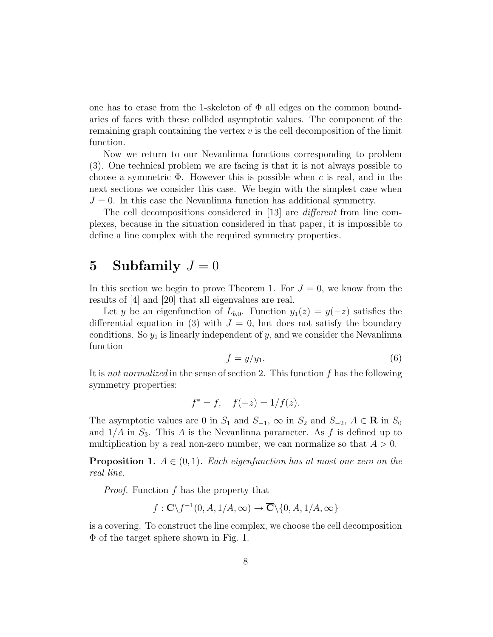one has to erase from the 1-skeleton of  $\Phi$  all edges on the common boundaries of faces with these collided asymptotic values. The component of the remaining graph containing the vertex  $v$  is the cell decomposition of the limit function.

Now we return to our Nevanlinna functions corresponding to problem (3). One technical problem we are facing is that it is not always possible to choose a symmetric  $\Phi$ . However this is possible when c is real, and in the next sections we consider this case. We begin with the simplest case when  $J = 0$ . In this case the Nevanlinna function has additional symmetry.

The cell decompositions considered in [13] are *different* from line complexes, because in the situation considered in that paper, it is impossible to define a line complex with the required symmetry properties.

#### 5 Subfamily  $J=0$

In this section we begin to prove Theorem 1. For  $J=0$ , we know from the results of [4] and [20] that all eigenvalues are real.

Let y be an eigenfunction of  $L_{b,0}$ . Function  $y_1(z) = y(-z)$  satisfies the differential equation in (3) with  $J = 0$ , but does not satisfy the boundary conditions. So  $y_1$  is linearly independent of y, and we consider the Nevanlinna function

$$
f = y/y_1. \tag{6}
$$

It is not normalized in the sense of section 2. This function f has the following symmetry properties:

$$
f^* = f
$$
,  $f(-z) = 1/f(z)$ .

The asymptotic values are 0 in  $S_1$  and  $S_{-1}$ ,  $\infty$  in  $S_2$  and  $S_{-2}$ ,  $A \in \mathbb{R}$  in  $S_0$ and  $1/A$  in  $S_3$ . This A is the Nevanlinna parameter. As f is defined up to multiplication by a real non-zero number, we can normalize so that  $A > 0$ .

**Proposition 1.**  $A \in (0,1)$ . Each eigenfunction has at most one zero on the real line.

Proof. Function f has the property that

$$
f: \mathbf{C} \backslash f^{-1}(0,A,1/A,\infty) \to \overline{\mathbf{C}} \backslash \{0,A,1/A,\infty\}
$$

is a covering. To construct the line complex, we choose the cell decomposition Φ of the target sphere shown in Fig. 1.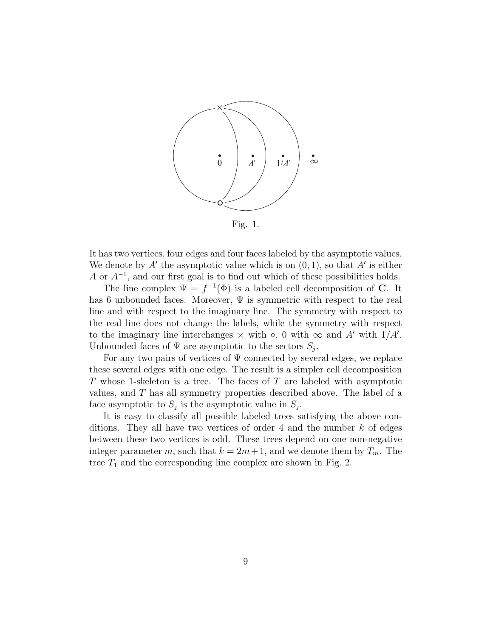

Fig. 1.

It has two vertices, four edges and four faces labeled by the asymptotic values. We denote by  $A'$  the asymptotic value which is on  $(0, 1)$ , so that  $A'$  is either A or  $A^{-1}$ , and our first goal is to find out which of these possibilities holds.

The line complex  $\Psi = f^{-1}(\Phi)$  is a labeled cell decomposition of **C**. It has 6 unbounded faces. Moreover,  $\Psi$  is symmetric with respect to the real line and with respect to the imaginary line. The symmetry with respect to the real line does not change the labels, while the symmetry with respect to the imaginary line interchanges  $\times$  with  $\circ$ , 0 with  $\infty$  and A' with  $1/A'$ . Unbounded faces of  $\Psi$  are asymptotic to the sectors  $S_j$ .

For any two pairs of vertices of  $\Psi$  connected by several edges, we replace these several edges with one edge. The result is a simpler cell decomposition T whose 1-skeleton is a tree. The faces of T are labeled with asymptotic values, and T has all symmetry properties described above. The label of a face asymptotic to  $S_j$  is the asymptotic value in  $S_j$ .

It is easy to classify all possible labeled trees satisfying the above conditions. They all have two vertices of order 4 and the number  $k$  of edges between these two vertices is odd. These trees depend on one non-negative integer parameter m, such that  $k = 2m+1$ , and we denote them by  $T_m$ . The tree  $T_1$  and the corresponding line complex are shown in Fig. 2.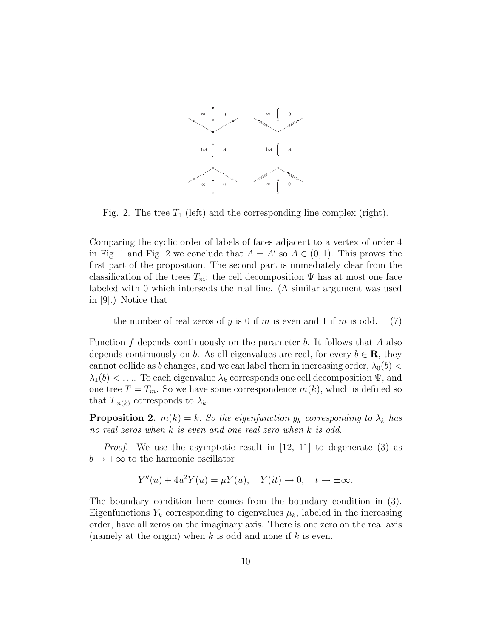

Fig. 2. The tree  $T_1$  (left) and the corresponding line complex (right).

Comparing the cyclic order of labels of faces adjacent to a vertex of order 4 in Fig. 1 and Fig. 2 we conclude that  $A = A'$  so  $A \in (0, 1)$ . This proves the first part of the proposition. The second part is immediately clear from the classification of the trees  $T_m$ : the cell decomposition  $\Psi$  has at most one face labeled with 0 which intersects the real line. (A similar argument was used in [9].) Notice that

the number of real zeros of y is 0 if m is even and 1 if m is odd. (7)

Function f depends continuously on the parameter b. It follows that A also depends continuously on b. As all eigenvalues are real, for every  $b \in \mathbf{R}$ , they cannot collide as b changes, and we can label them in increasing order,  $\lambda_0(b)$  <  $\lambda_1(b) < \ldots$  To each eigenvalue  $\lambda_k$  corresponds one cell decomposition  $\Psi$ , and one tree  $T = T_m$ . So we have some correspondence  $m(k)$ , which is defined so that  $T_{m(k)}$  corresponds to  $\lambda_k$ .

**Proposition 2.**  $m(k) = k$ . So the eigenfunction  $y_k$  corresponding to  $\lambda_k$  has no real zeros when k is even and one real zero when k is odd.

Proof. We use the asymptotic result in [12, 11] to degenerate (3) as  $b \rightarrow +\infty$  to the harmonic oscillator

$$
Y''(u) + 4u^2Y(u) = \mu Y(u), \quad Y(it) \to 0, \quad t \to \pm \infty.
$$

The boundary condition here comes from the boundary condition in (3). Eigenfunctions  $Y_k$  corresponding to eigenvalues  $\mu_k$ , labeled in the increasing order, have all zeros on the imaginary axis. There is one zero on the real axis (namely at the origin) when k is odd and none if k is even.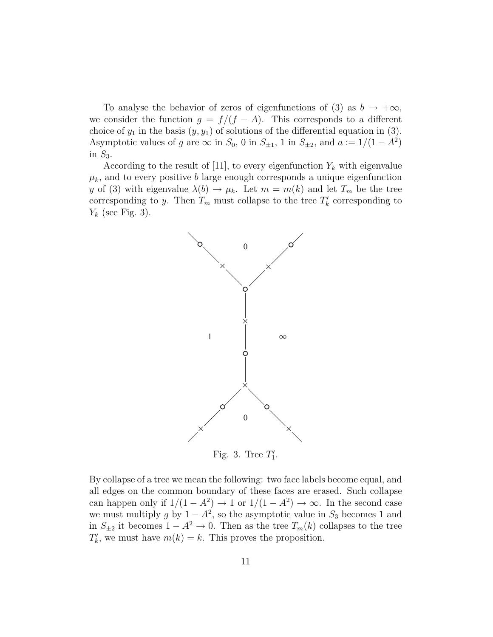To analyse the behavior of zeros of eigenfunctions of (3) as  $b \to +\infty$ , we consider the function  $g = f/(f - A)$ . This corresponds to a different choice of  $y_1$  in the basis  $(y, y_1)$  of solutions of the differential equation in (3). Asymptotic values of g are  $\infty$  in  $S_0$ , 0 in  $S_{\pm 1}$ , 1 in  $S_{\pm 2}$ , and  $a := 1/(1 - A^2)$ in  $S_3$ .

According to the result of [11], to every eigenfunction  $Y_k$  with eigenvalue  $\mu_k$ , and to every positive b large enough corresponds a unique eigenfunction y of (3) with eigenvalue  $\lambda(b) \to \mu_k$ . Let  $m = m(k)$  and let  $T_m$  be the tree corresponding to y. Then  $T_m$  must collapse to the tree  $T'_k$  $\chi$ <sup>'</sup> corresponding to  $Y_k$  (see Fig. 3).



By collapse of a tree we mean the following: two face labels become equal, and all edges on the common boundary of these faces are erased. Such collapse can happen only if  $1/(1 - A^2) \rightarrow 1$  or  $1/(1 - A^2) \rightarrow \infty$ . In the second case we must multiply g by  $1 - A^2$ , so the asymptotic value in  $S_3$  becomes 1 and in  $S_{\pm 2}$  it becomes  $1 - A^2 \rightarrow 0$ . Then as the tree  $T_m(k)$  collapses to the tree  $T'_{k}$  $k$ , we must have  $m(k) = k$ . This proves the proposition.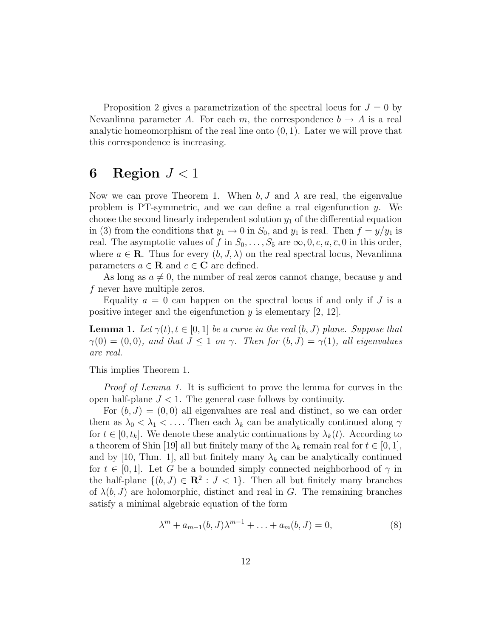Proposition 2 gives a parametrization of the spectral locus for  $J = 0$  by Nevanlinna parameter A. For each m, the correspondence  $b \to A$  is a real analytic homeomorphism of the real line onto  $(0, 1)$ . Later we will prove that this correspondence is increasing.

## 6 Region  $J < 1$

Now we can prove Theorem 1. When  $b, J$  and  $\lambda$  are real, the eigenvalue problem is PT-symmetric, and we can define a real eigenfunction y. We choose the second linearly independent solution  $y_1$  of the differential equation in (3) from the conditions that  $y_1 \to 0$  in  $S_0$ , and  $y_1$  is real. Then  $f = y/y_1$  is real. The asymptotic values of f in  $S_0, \ldots, S_5$  are  $\infty, 0, c, a, \overline{c}, 0$  in this order, where  $a \in \mathbf{R}$ . Thus for every  $(b, J, \lambda)$  on the real spectral locus, Nevanlinna parameters  $a \in \overline{R}$  and  $c \in \overline{C}$  are defined.

As long as  $a \neq 0$ , the number of real zeros cannot change, because y and f never have multiple zeros.

Equality  $a = 0$  can happen on the spectral locus if and only if J is a positive integer and the eigenfunction  $y$  is elementary [2, 12].

**Lemma 1.** Let  $\gamma(t), t \in [0, 1]$  be a curve in the real  $(b, J)$  plane. Suppose that  $\gamma(0) = (0, 0)$ , and that  $J \leq 1$  on  $\gamma$ . Then for  $(b, J) = \gamma(1)$ , all eigenvalues are real.

This implies Theorem 1.

Proof of Lemma 1. It is sufficient to prove the lemma for curves in the open half-plane  $J < 1$ . The general case follows by continuity.

For  $(b, J) = (0, 0)$  all eigenvalues are real and distinct, so we can order them as  $\lambda_0 < \lambda_1 < \ldots$ . Then each  $\lambda_k$  can be analytically continued along  $\gamma$ for  $t \in [0, t_k]$ . We denote these analytic continuations by  $\lambda_k(t)$ . According to a theorem of Shin [19] all but finitely many of the  $\lambda_k$  remain real for  $t \in [0,1]$ , and by [10, Thm. 1], all but finitely many  $\lambda_k$  can be analytically continued for  $t \in [0,1]$ . Let G be a bounded simply connected neighborhood of  $\gamma$  in the half-plane  $\{(b, J) \in \mathbb{R}^2 : J < 1\}$ . Then all but finitely many branches of  $\lambda(b, J)$  are holomorphic, distinct and real in G. The remaining branches satisfy a minimal algebraic equation of the form

$$
\lambda^{m} + a_{m-1}(b, J)\lambda^{m-1} + \ldots + a_{m}(b, J) = 0,
$$
\n(8)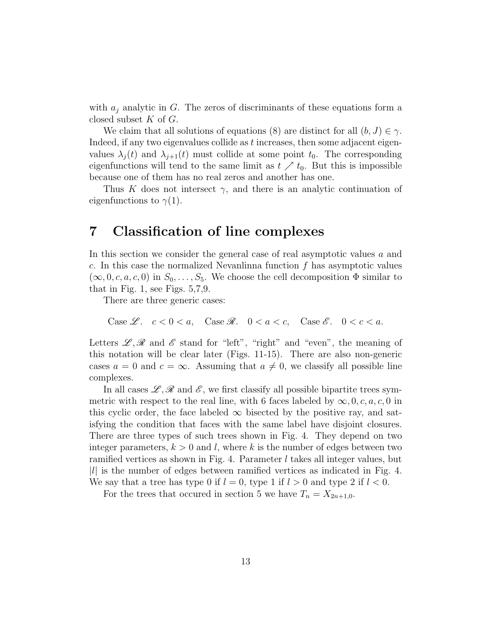with  $a_j$  analytic in G. The zeros of discriminants of these equations form a closed subset  $K$  of  $G$ .

We claim that all solutions of equations (8) are distinct for all  $(b, J) \in \gamma$ . Indeed, if any two eigenvalues collide as t increases, then some adjacent eigenvalues  $\lambda_j(t)$  and  $\lambda_{j+1}(t)$  must collide at some point  $t_0$ . The corresponding eigenfunctions will tend to the same limit as  $t \nearrow t_0$ . But this is impossible because one of them has no real zeros and another has one.

Thus K does not intersect  $\gamma$ , and there is an analytic continuation of eigenfunctions to  $\gamma(1)$ .

#### 7 Classification of line complexes

In this section we consider the general case of real asymptotic values a and c. In this case the normalized Nevanlinna function  $f$  has asymptotic values  $(\infty, 0, c, a, c, 0)$  in  $S_0, \ldots, S_5$ . We choose the cell decomposition  $\Phi$  similar to that in Fig. 1, see Figs. 5,7,9.

There are three generic cases:

Case  $\mathscr{L}$ .  $c < 0 < a$ , Case  $\mathscr{R}$ .  $0 < a < c$ , Case  $\mathscr{E}$ .  $0 < c < a$ .

Letters  $\mathscr{L}, \mathscr{R}$  and  $\mathscr{E}$  stand for "left", "right" and "even", the meaning of this notation will be clear later (Figs. 11-15). There are also non-generic cases  $a = 0$  and  $c = \infty$ . Assuming that  $a \neq 0$ , we classify all possible line complexes.

In all cases  $\mathscr{L}, \mathscr{R}$  and  $\mathscr{E}$ , we first classify all possible bipartite trees symmetric with respect to the real line, with 6 faces labeled by  $\infty, 0, c, a, c, 0$  in this cyclic order, the face labeled  $\infty$  bisected by the positive ray, and satisfying the condition that faces with the same label have disjoint closures. There are three types of such trees shown in Fig. 4. They depend on two integer parameters,  $k > 0$  and l, where k is the number of edges between two ramified vertices as shown in Fig. 4. Parameter l takes all integer values, but  $|l|$  is the number of edges between ramified vertices as indicated in Fig. 4. We say that a tree has type 0 if  $l = 0$ , type 1 if  $l > 0$  and type 2 if  $l < 0$ .

For the trees that occurred in section 5 we have  $T_n = X_{2n+1,0}$ .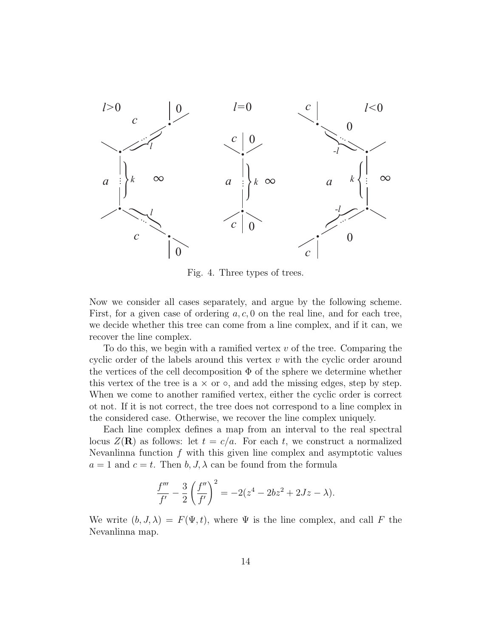

Fig. 4. Three types of trees.

Now we consider all cases separately, and argue by the following scheme. First, for a given case of ordering  $a, c, 0$  on the real line, and for each tree, we decide whether this tree can come from a line complex, and if it can, we recover the line complex.

To do this, we begin with a ramified vertex  $v$  of the tree. Comparing the cyclic order of the labels around this vertex  $v$  with the cyclic order around the vertices of the cell decomposition  $\Phi$  of the sphere we determine whether this vertex of the tree is a  $\times$  or  $\circ$ , and add the missing edges, step by step. When we come to another ramified vertex, either the cyclic order is correct ot not. If it is not correct, the tree does not correspond to a line complex in the considered case. Otherwise, we recover the line complex uniquely.

Each line complex defines a map from an interval to the real spectral locus  $Z(\mathbf{R})$  as follows: let  $t = c/a$ . For each t, we construct a normalized Nevanlinna function  $f$  with this given line complex and asymptotic values  $a = 1$  and  $c = t$ . Then  $b, J, \lambda$  can be found from the formula

$$
\frac{f'''}{f'} - \frac{3}{2} \left( \frac{f''}{f'} \right)^2 = -2(z^4 - 2bz^2 + 2Jz - \lambda).
$$

We write  $(b, J, \lambda) = F(\Psi, t)$ , where  $\Psi$  is the line complex, and call F the Nevanlinna map.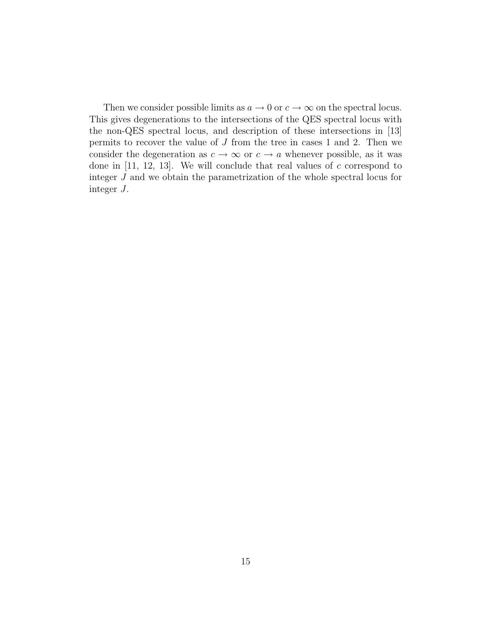Then we consider possible limits as  $a \to 0$  or  $c \to \infty$  on the spectral locus. This gives degenerations to the intersections of the QES spectral locus with the non-QES spectral locus, and description of these intersections in [13] permits to recover the value of  $J$  from the tree in cases 1 and 2. Then we consider the degeneration as  $c \to \infty$  or  $c \to a$  whenever possible, as it was done in  $[11, 12, 13]$ . We will conclude that real values of c correspond to integer J and we obtain the parametrization of the whole spectral locus for integer J.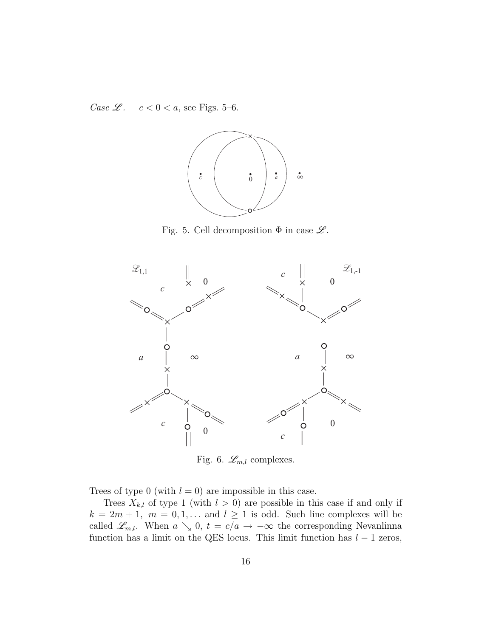Case  $\mathscr{L}$ .  $c < 0 < a$ , see Figs. 5–6.



Fig. 5. Cell decomposition  $\Phi$  in case  $\mathscr{L}$ .



Fig. 6.  $\mathcal{L}_{m,l}$  complexes.

Trees of type 0 (with  $l = 0$ ) are impossible in this case.

Trees  $X_{k,l}$  of type 1 (with  $l > 0$ ) are possible in this case if and only if  $k = 2m + 1$ ,  $m = 0, 1, \dots$  and  $l \ge 1$  is odd. Such line complexes will be called  $\mathscr{L}_{m,l}$ . When  $a \searrow 0$ ,  $t = c/a \rightarrow -\infty$  the corresponding Nevanlinna function has a limit on the QES locus. This limit function has  $l - 1$  zeros,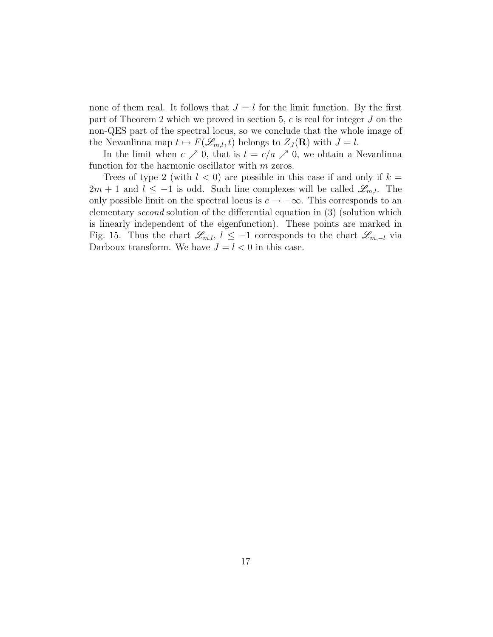none of them real. It follows that  $J = l$  for the limit function. By the first part of Theorem 2 which we proved in section 5,  $c$  is real for integer  $J$  on the non-QES part of the spectral locus, so we conclude that the whole image of the Nevanlinna map  $t \mapsto F(\mathcal{L}_{m,l},t)$  belongs to  $Z_J(\mathbf{R})$  with  $J = l$ .

In the limit when  $c \nearrow 0$ , that is  $t = c/a \nearrow 0$ , we obtain a Nevanlinna function for the harmonic oscillator with m zeros.

Trees of type 2 (with  $l < 0$ ) are possible in this case if and only if  $k =$  $2m + 1$  and  $l \leq -1$  is odd. Such line complexes will be called  $\mathscr{L}_{m,l}$ . The only possible limit on the spectral locus is  $c \to -\infty$ . This corresponds to an elementary second solution of the differential equation in (3) (solution which is linearly independent of the eigenfunction). These points are marked in Fig. 15. Thus the chart  $\mathscr{L}_{m,l}$ ,  $l \leq -1$  corresponds to the chart  $\mathscr{L}_{m,-l}$  via Darboux transform. We have  $J = l < 0$  in this case.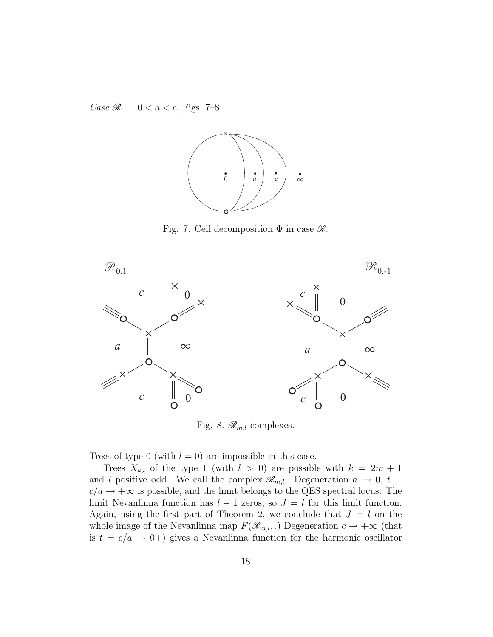Case  $\Re$ .  $0 < a < c$ , Figs. 7-8.



Fig. 7. Cell decomposition  $\Phi$  in case  $\mathscr{R}$ .



Fig. 8.  $\mathcal{R}_{m,l}$  complexes.

Trees of type 0 (with  $l = 0$ ) are impossible in this case.

Trees  $X_{k,l}$  of the type 1 (with  $l > 0$ ) are possible with  $k = 2m + 1$ and l positive odd. We call the complex  $\mathcal{R}_{m,l}$ . Degeneration  $a \to 0$ ,  $t =$  $c/a \rightarrow +\infty$  is possible, and the limit belongs to the QES spectral locus. The limit Nevanlinna function has  $l - 1$  zeros, so  $J = l$  for this limit function. Again, using the first part of Theorem 2, we conclude that  $J = l$  on the whole image of the Nevanlinna map  $F(\mathcal{R}_{m,l},.)$  Degeneration  $c \to +\infty$  (that is  $t = c/a \rightarrow 0+$ ) gives a Nevanlinna function for the harmonic oscillator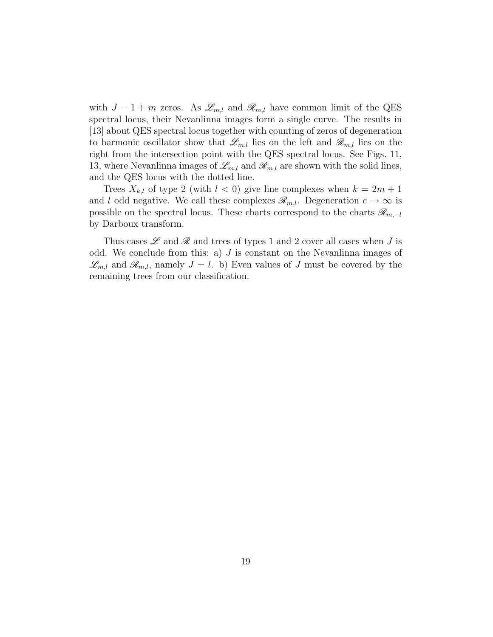with  $J-1+m$  zeros. As  $\mathscr{L}_{m,l}$  and  $\mathscr{R}_{m,l}$  have common limit of the QES spectral locus, their Nevanlinna images form a single curve. The results in [13] about QES spectral locus together with counting of zeros of degeneration to harmonic oscillator show that  $\mathscr{L}_{m,l}$  lies on the left and  $\mathscr{R}_{m,l}$  lies on the right from the intersection point with the QES spectral locus. See Figs. 11, 13, where Nevanlinna images of  $\mathcal{L}_{m,l}$  and  $\mathcal{R}_{m,l}$  are shown with the solid lines, and the QES locus with the dotted line.

Trees  $X_{k,l}$  of type 2 (with  $l < 0$ ) give line complexes when  $k = 2m + 1$ and l odd negative. We call these complexes  $\mathcal{R}_{m,l}$ . Degeneration  $c \to \infty$  is possible on the spectral locus. These charts correspond to the charts  $\mathscr{R}_{m,-l}$ by Darboux transform.

Thus cases  $\mathscr L$  and  $\mathscr R$  and trees of types 1 and 2 cover all cases when J is odd. We conclude from this: a)  $J$  is constant on the Nevanlinna images of  $\mathscr{L}_{m,l}$  and  $\mathscr{R}_{m,l}$ , namely  $J = l$ . b) Even values of J must be covered by the remaining trees from our classification.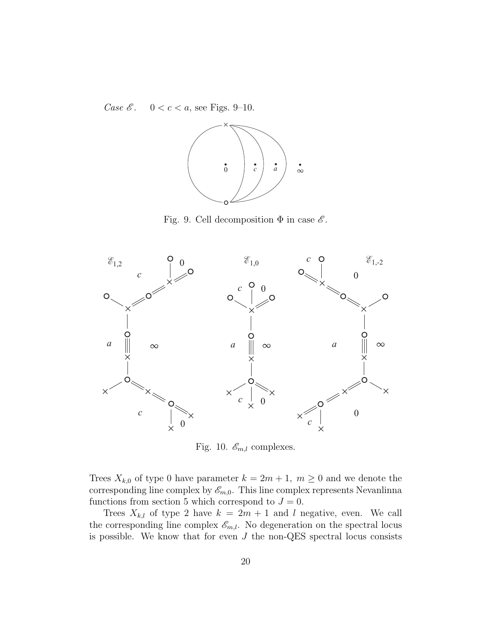Case  $\mathscr{E}$ .  $0 < c < a$ , see Figs. 9-10.



Fig. 9. Cell decomposition  $\Phi$  in case  $\mathscr E$ .



Fig. 10.  $\mathcal{E}_{m,l}$  complexes.

Trees  $X_{k,0}$  of type 0 have parameter  $k = 2m + 1$ ,  $m \ge 0$  and we denote the corresponding line complex by  $\mathscr{E}_{m,0}$ . This line complex represents Nevanlinna functions from section 5 which correspond to  $J = 0$ .

Trees  $X_{k,l}$  of type 2 have  $k = 2m + 1$  and l negative, even. We call the corresponding line complex  $\mathscr{E}_{m,l}$ . No degeneration on the spectral locus is possible. We know that for even  $J$  the non-QES spectral locus consists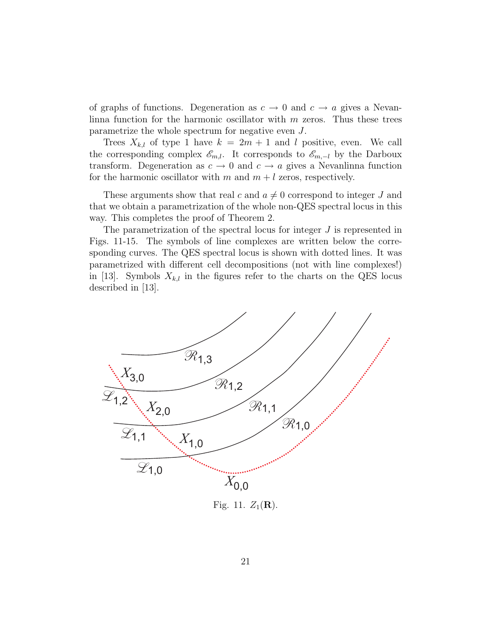of graphs of functions. Degeneration as  $c \to 0$  and  $c \to a$  gives a Nevanlinna function for the harmonic oscillator with  $m$  zeros. Thus these trees parametrize the whole spectrum for negative even J.

Trees  $X_{k,l}$  of type 1 have  $k = 2m + 1$  and l positive, even. We call the corresponding complex  $\mathscr{E}_{m,l}$ . It corresponds to  $\mathscr{E}_{m,-l}$  by the Darboux transform. Degeneration as  $c \to 0$  and  $c \to a$  gives a Nevanlinna function for the harmonic oscillator with m and  $m + l$  zeros, respectively.

These arguments show that real c and  $a \neq 0$  correspond to integer J and that we obtain a parametrization of the whole non-QES spectral locus in this way. This completes the proof of Theorem 2.

The parametrization of the spectral locus for integer  $J$  is represented in Figs. 11-15. The symbols of line complexes are written below the corresponding curves. The QES spectral locus is shown with dotted lines. It was parametrized with different cell decompositions (not with line complexes!) in [13]. Symbols  $X_{k,l}$  in the figures refer to the charts on the QES locus described in [13].



Fig. 11.  $Z_1(\mathbf{R})$ .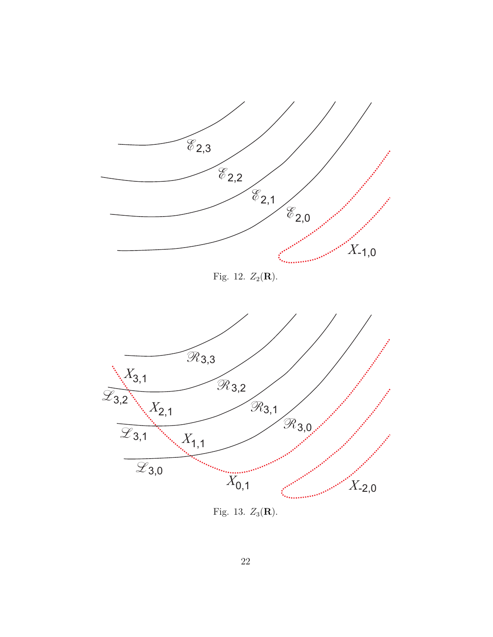

Fig. 13.  $Z_3(\mathbf{R})$ .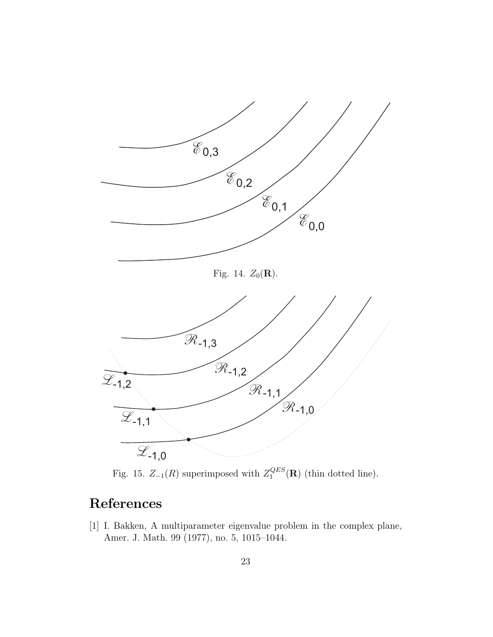

Fig. 15.  $Z_{-1}(R)$  superimposed with  $Z_1^{QES}$  $\mathcal{L}_{1}^{QES}(\mathbf{R})$  (thin dotted line).

## References

[1] I. Bakken, A multiparameter eigenvalue problem in the complex plane, Amer. J. Math. 99 (1977), no. 5, 1015–1044.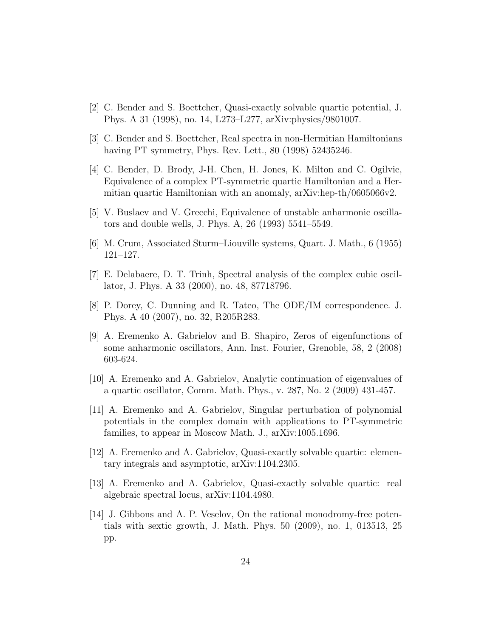- [2] C. Bender and S. Boettcher, Quasi-exactly solvable quartic potential, J. Phys. A 31 (1998), no. 14, L273–L277, arXiv:physics/9801007.
- [3] C. Bender and S. Boettcher, Real spectra in non-Hermitian Hamiltonians having PT symmetry, Phys. Rev. Lett., 80 (1998) 52435246.
- [4] C. Bender, D. Brody, J-H. Chen, H. Jones, K. Milton and C. Ogilvie, Equivalence of a complex PT-symmetric quartic Hamiltonian and a Hermitian quartic Hamiltonian with an anomaly, arXiv:hep-th/0605066v2.
- [5] V. Buslaev and V. Grecchi, Equivalence of unstable anharmonic oscillators and double wells, J. Phys. A, 26 (1993) 5541–5549.
- [6] M. Crum, Associated Sturm–Liouville systems, Quart. J. Math., 6 (1955) 121–127.
- [7] E. Delabaere, D. T. Trinh, Spectral analysis of the complex cubic oscillator, J. Phys. A 33 (2000), no. 48, 87718796.
- [8] P. Dorey, C. Dunning and R. Tateo, The ODE/IM correspondence. J. Phys. A 40 (2007), no. 32, R205R283.
- [9] A. Eremenko A. Gabrielov and B. Shapiro, Zeros of eigenfunctions of some anharmonic oscillators, Ann. Inst. Fourier, Grenoble, 58, 2 (2008) 603-624.
- [10] A. Eremenko and A. Gabrielov, Analytic continuation of eigenvalues of a quartic oscillator, Comm. Math. Phys., v. 287, No. 2 (2009) 431-457.
- [11] A. Eremenko and A. Gabrielov, Singular perturbation of polynomial potentials in the complex domain with applications to PT-symmetric families, to appear in Moscow Math. J., arXiv:1005.1696.
- [12] A. Eremenko and A. Gabrielov, Quasi-exactly solvable quartic: elementary integrals and asymptotic, arXiv:1104.2305.
- [13] A. Eremenko and A. Gabrielov, Quasi-exactly solvable quartic: real algebraic spectral locus, arXiv:1104.4980.
- [14] J. Gibbons and A. P. Veselov, On the rational monodromy-free potentials with sextic growth, J. Math. Phys. 50 (2009), no. 1, 013513, 25 pp.